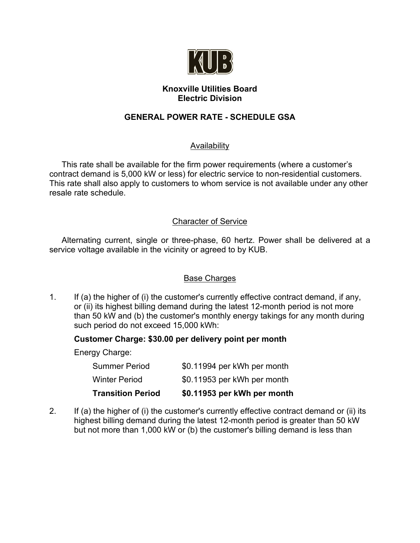

## **Knoxville Utilities Board Electric Division**

# **GENERAL POWER RATE - SCHEDULE GSA**

## **Availability**

This rate shall be available for the firm power requirements (where a customer's contract demand is 5,000 kW or less) for electric service to non-residential customers. This rate shall also apply to customers to whom service is not available under any other resale rate schedule.

#### Character of Service

Alternating current, single or three-phase, 60 hertz. Power shall be delivered at a service voltage available in the vicinity or agreed to by KUB.

#### Base Charges

1. If (a) the higher of (i) the customer's currently effective contract demand, if any, or (ii) its highest billing demand during the latest 12-month period is not more than 50 kW and (b) the customer's monthly energy takings for any month during such period do not exceed 15,000 kWh:

#### **Customer Charge: \$30.00 per delivery point per month**

Energy Charge:

| <b>Transition Period</b> | \$0.11953 per kWh per month |
|--------------------------|-----------------------------|
| Winter Period            | \$0.11953 per kWh per month |
| <b>Summer Period</b>     | \$0.11994 per kWh per month |

2. If (a) the higher of (i) the customer's currently effective contract demand or (ii) its highest billing demand during the latest 12-month period is greater than 50 kW but not more than 1,000 kW or (b) the customer's billing demand is less than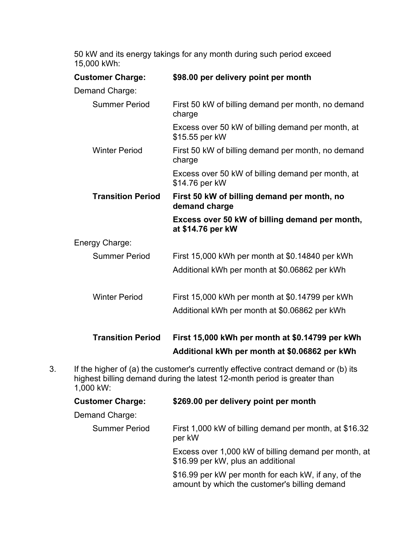50 kW and its energy takings for any month during such period exceed 15,000 kWh:

| <b>Customer Charge:</b>  | \$98.00 per delivery point per month                                                             |  |  |  |
|--------------------------|--------------------------------------------------------------------------------------------------|--|--|--|
| Demand Charge:           |                                                                                                  |  |  |  |
| <b>Summer Period</b>     | First 50 kW of billing demand per month, no demand<br>charge                                     |  |  |  |
|                          | Excess over 50 kW of billing demand per month, at<br>\$15.55 per kW                              |  |  |  |
| <b>Winter Period</b>     | First 50 kW of billing demand per month, no demand<br>charge                                     |  |  |  |
|                          | Excess over 50 kW of billing demand per month, at<br>\$14.76 per kW                              |  |  |  |
| <b>Transition Period</b> | First 50 kW of billing demand per month, no<br>demand charge                                     |  |  |  |
|                          | Excess over 50 kW of billing demand per month,<br>at \$14.76 per kW                              |  |  |  |
| Energy Charge:           |                                                                                                  |  |  |  |
| <b>Summer Period</b>     | First 15,000 kWh per month at \$0.14840 per kWh                                                  |  |  |  |
|                          | Additional kWh per month at \$0.06862 per kWh                                                    |  |  |  |
| <b>Winter Period</b>     | First 15,000 kWh per month at \$0.14799 per kWh                                                  |  |  |  |
|                          | Additional kWh per month at \$0.06862 per kWh                                                    |  |  |  |
| <b>Transition Period</b> | First 15,000 kWh per month at \$0.14799 per kWh<br>Additional kWh per month at \$0.06862 per kWh |  |  |  |

3. If the higher of (a) the customer's currently effective contract demand or (b) its highest billing demand during the latest 12-month period is greater than 1,000 kW:

| <b>Customer Charge:</b> | \$269.00 per delivery point per month                                                                 |  |  |
|-------------------------|-------------------------------------------------------------------------------------------------------|--|--|
| Demand Charge:          |                                                                                                       |  |  |
| <b>Summer Period</b>    | First 1,000 kW of billing demand per month, at \$16.32<br>per kW                                      |  |  |
|                         | Excess over 1,000 kW of billing demand per month, at<br>\$16.99 per kW, plus an additional            |  |  |
|                         | \$16.99 per kW per month for each kW, if any, of the<br>amount by which the customer's billing demand |  |  |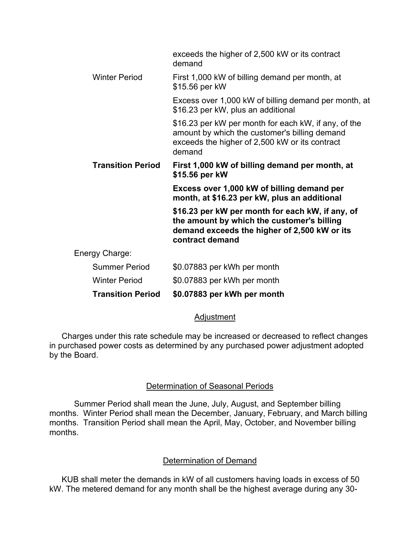|                          | exceeds the higher of 2,500 kW or its contract<br>demand                                                                                                          |
|--------------------------|-------------------------------------------------------------------------------------------------------------------------------------------------------------------|
| <b>Winter Period</b>     | First 1,000 kW of billing demand per month, at<br>\$15.56 per kW                                                                                                  |
|                          | Excess over 1,000 kW of billing demand per month, at<br>\$16.23 per kW, plus an additional                                                                        |
|                          | \$16.23 per kW per month for each kW, if any, of the<br>amount by which the customer's billing demand<br>exceeds the higher of 2,500 kW or its contract<br>demand |
| <b>Transition Period</b> | First 1,000 kW of billing demand per month, at<br>\$15.56 per kW                                                                                                  |
|                          | Excess over 1,000 kW of billing demand per<br>month, at \$16.23 per kW, plus an additional                                                                        |
|                          | \$16.23 per kW per month for each kW, if any, of<br>the amount by which the customer's billing<br>demand exceeds the higher of 2,500 kW or its<br>contract demand |
| Energy Charge:           |                                                                                                                                                                   |
| <b>Summer Period</b>     | \$0.07883 per kWh per month                                                                                                                                       |
| <b>Winter Period</b>     | \$0.07883 per kWh per month                                                                                                                                       |
| <b>Transition Period</b> | \$0.07883 per kWh per month                                                                                                                                       |

#### Adjustment

Charges under this rate schedule may be increased or decreased to reflect changes in purchased power costs as determined by any purchased power adjustment adopted by the Board.

#### Determination of Seasonal Periods

Summer Period shall mean the June, July, August, and September billing months. Winter Period shall mean the December, January, February, and March billing months. Transition Period shall mean the April, May, October, and November billing months.

#### Determination of Demand

KUB shall meter the demands in kW of all customers having loads in excess of 50 kW. The metered demand for any month shall be the highest average during any 30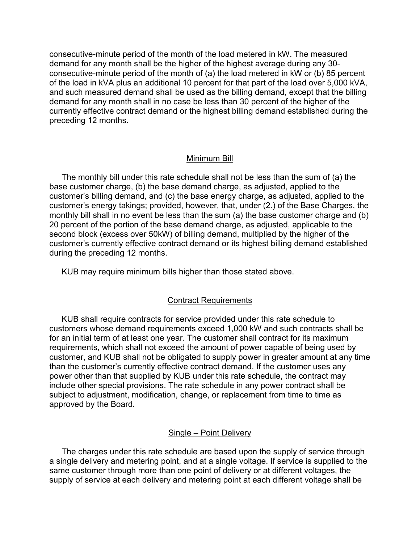consecutive-minute period of the month of the load metered in kW. The measured demand for any month shall be the higher of the highest average during any 30 consecutive-minute period of the month of (a) the load metered in kW or (b) 85 percent of the load in kVA plus an additional 10 percent for that part of the load over 5,000 kVA, and such measured demand shall be used as the billing demand, except that the billing demand for any month shall in no case be less than 30 percent of the higher of the currently effective contract demand or the highest billing demand established during the preceding 12 months.

#### Minimum Bill

The monthly bill under this rate schedule shall not be less than the sum of (a) the base customer charge, (b) the base demand charge, as adjusted, applied to the customer's billing demand, and (c) the base energy charge, as adjusted, applied to the customer's energy takings; provided, however, that, under (2.) of the Base Charges, the monthly bill shall in no event be less than the sum (a) the base customer charge and (b) 20 percent of the portion of the base demand charge, as adjusted, applicable to the second block (excess over 50kW) of billing demand, multiplied by the higher of the customer's currently effective contract demand or its highest billing demand established during the preceding 12 months.

KUB may require minimum bills higher than those stated above.

#### Contract Requirements

KUB shall require contracts for service provided under this rate schedule to customers whose demand requirements exceed 1,000 kW and such contracts shall be for an initial term of at least one year. The customer shall contract for its maximum requirements, which shall not exceed the amount of power capable of being used by customer, and KUB shall not be obligated to supply power in greater amount at any time than the customer's currently effective contract demand. If the customer uses any power other than that supplied by KUB under this rate schedule, the contract may include other special provisions. The rate schedule in any power contract shall be subject to adjustment, modification, change, or replacement from time to time as approved by the Board**.**

#### Single – Point Delivery

The charges under this rate schedule are based upon the supply of service through a single delivery and metering point, and at a single voltage. If service is supplied to the same customer through more than one point of delivery or at different voltages, the supply of service at each delivery and metering point at each different voltage shall be